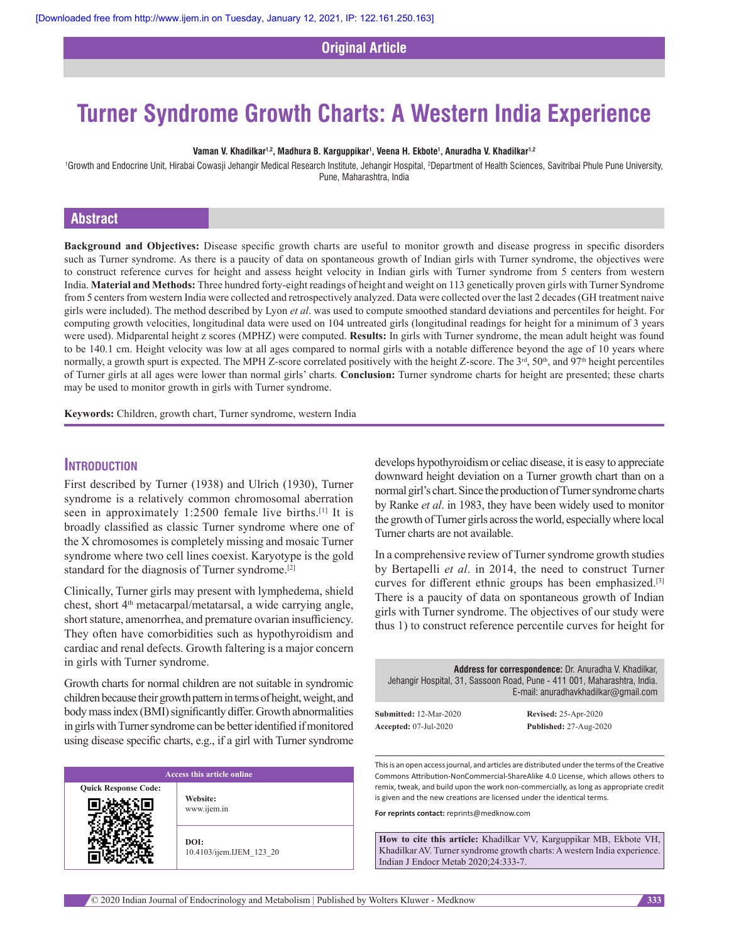# **Original Article**

# **Turner Syndrome Growth Charts: A Western India Experience**

#### **Vaman V. Khadilkar1,2, Madhura B. Karguppikar1 , Veena H. Ekbote1 , Anuradha V. Khadilkar1,2**

1 Growth and Endocrine Unit, Hirabai Cowasji Jehangir Medical Research Institute, Jehangir Hospital, 2 Department of Health Sciences, Savitribai Phule Pune University, Pune, Maharashtra, India

## **Abstract**

**Background and Objectives:** Disease specific growth charts are useful to monitor growth and disease progress in specific disorders such as Turner syndrome. As there is a paucity of data on spontaneous growth of Indian girls with Turner syndrome, the objectives were to construct reference curves for height and assess height velocity in Indian girls with Turner syndrome from 5 centers from western India. **Material and Methods:** Three hundred forty‑eight readings of height and weight on 113 genetically proven girls with Turner Syndrome from 5 centers from western India were collected and retrospectively analyzed. Data were collected over the last 2 decades (GH treatment naive girls were included). The method described by Lyon *et al*. was used to compute smoothed standard deviations and percentiles for height. For computing growth velocities, longitudinal data were used on 104 untreated girls (longitudinal readings for height for a minimum of 3 years were used). Midparental height z scores (MPHZ) were computed. **Results:** In girls with Turner syndrome, the mean adult height was found to be 140.1 cm. Height velocity was low at all ages compared to normal girls with a notable difference beyond the age of 10 years where normally, a growth spurt is expected. The MPH Z-score correlated positively with the height Z-score. The 3<sup>rd</sup>, 50<sup>th</sup>, and 97<sup>th</sup> height percentiles of Turner girls at all ages were lower than normal girls' charts. **Conclusion:** Turner syndrome charts for height are presented; these charts may be used to monitor growth in girls with Turner syndrome.

**Keywords:** Children, growth chart, Turner syndrome, western India

#### **Introduction**

**Quic** 

First described by Turner (1938) and Ulrich (1930), Turner syndrome is a relatively common chromosomal aberration seen in approximately 1:2500 female live births.<sup>[1]</sup> It is broadly classified as classic Turner syndrome where one of the X chromosomes is completely missing and mosaic Turner syndrome where two cell lines coexist. Karyotype is the gold standard for the diagnosis of Turner syndrome.<sup>[2]</sup>

Clinically, Turner girls may present with lymphedema, shield chest, short  $4<sup>th</sup>$  metacarpal/metatarsal, a wide carrying angle, short stature, amenorrhea, and premature ovarian insufficiency. They often have comorbidities such as hypothyroidism and cardiac and renal defects. Growth faltering is a major concern in girls with Turner syndrome.

Growth charts for normal children are not suitable in syndromic children because their growth pattern in terms of height, weight, and body mass index (BMI) significantly differ. Growth abnormalities in girls with Turner syndrome can be better identified if monitored using disease specific charts, e.g., if a girl with Turner syndrome

| <b>Access this article online</b> |                                  |  |  |  |
|-----------------------------------|----------------------------------|--|--|--|
| Quick Response Code:              | Website:<br>www.ijem.in          |  |  |  |
|                                   | DOI:<br>10.4103/ijem.IJEM 123 20 |  |  |  |

develops hypothyroidism or celiac disease, it is easy to appreciate downward height deviation on a Turner growth chart than on a normal girl's chart. Since the production of Turner syndrome charts by Ranke *et al*. in 1983, they have been widely used to monitor the growth of Turner girls across the world, especially where local Turner charts are not available.

In a comprehensive review of Turner syndrome growth studies by Bertapelli *et al*. in 2014, the need to construct Turner curves for different ethnic groups has been emphasized.[3] There is a paucity of data on spontaneous growth of Indian girls with Turner syndrome. The objectives of our study were thus 1) to construct reference percentile curves for height for

**Address for correspondence:** Dr. Anuradha V. Khadilkar, Jehangir Hospital, 31, Sassoon Road, Pune - 411 001, Maharashtra, India. E-mail: anuradhavkhadilkar@gmail.com

**Submitted:** 12‑Mar‑2020 **Accepted:** 07‑Jul‑2020

**Revised:** 25‑Apr‑2020 **Published:** 27-Aug-2020

This is an open access journal, and articles are distributed under the terms of the Creative Commons Attribution‑NonCommercial‑ShareAlike 4.0 License, which allows others to remix, tweak, and build upon the work non‑commercially, as long as appropriate credit is given and the new creations are licensed under the identical terms.

**For reprints contact:** reprints@medknow.com

**How to cite this article:** Khadilkar VV, Karguppikar MB, Ekbote VH, Khadilkar AV. Turner syndrome growth charts: Awestern India experience. Indian J Endocr Metab 2020;24:333-7.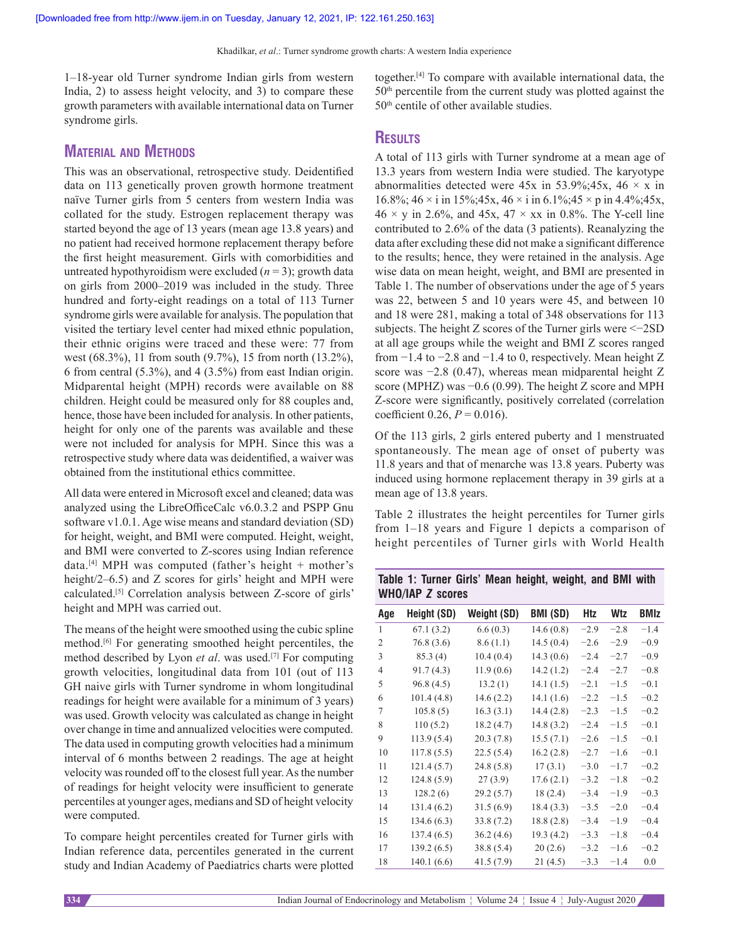1–18‑year old Turner syndrome Indian girls from western India, 2) to assess height velocity, and 3) to compare these growth parameters with available international data on Turner syndrome girls.

# **Material and Methods**

This was an observational, retrospective study. Deidentified data on 113 genetically proven growth hormone treatment naïve Turner girls from 5 centers from western India was collated for the study. Estrogen replacement therapy was started beyond the age of 13 years (mean age 13.8 years) and no patient had received hormone replacement therapy before the first height measurement. Girls with comorbidities and untreated hypothyroidism were excluded  $(n=3)$ ; growth data on girls from 2000–2019 was included in the study. Three hundred and forty-eight readings on a total of 113 Turner syndrome girls were available for analysis. The population that visited the tertiary level center had mixed ethnic population, their ethnic origins were traced and these were: 77 from west (68.3%), 11 from south (9.7%), 15 from north (13.2%), 6 from central (5.3%), and 4 (3.5%) from east Indian origin. Midparental height (MPH) records were available on 88 children. Height could be measured only for 88 couples and, hence, those have been included for analysis. In other patients, height for only one of the parents was available and these were not included for analysis for MPH. Since this was a retrospective study where data was deidentified, a waiver was obtained from the institutional ethics committee.

All data were entered in Microsoft excel and cleaned; data was analyzed using the LibreOfficeCalc v6.0.3.2 and PSPP Gnu software v1.0.1. Age wise means and standard deviation (SD) for height, weight, and BMI were computed. Height, weight, and BMI were converted to Z‑scores using Indian reference data.[4] MPH was computed (father's height + mother's height/2–6.5) and Z scores for girls' height and MPH were calculated.[5] Correlation analysis between Z‑score of girls' height and MPH was carried out.

The means of the height were smoothed using the cubic spline method.[6] For generating smoothed height percentiles, the method described by Lyon *et al*. was used.[7] For computing growth velocities, longitudinal data from 101 (out of 113 GH naive girls with Turner syndrome in whom longitudinal readings for height were available for a minimum of 3 years) was used. Growth velocity was calculated as change in height over change in time and annualized velocities were computed. The data used in computing growth velocities had a minimum interval of 6 months between 2 readings. The age at height velocity was rounded off to the closest full year. As the number of readings for height velocity were insufficient to generate percentiles at younger ages, medians and SD of height velocity were computed.

To compare height percentiles created for Turner girls with Indian reference data, percentiles generated in the current study and Indian Academy of Paediatrics charts were plotted together.[4] To compare with available international data, the 50<sup>th</sup> percentile from the current study was plotted against the 50<sup>th</sup> centile of other available studies.

#### **Results**

A total of 113 girls with Turner syndrome at a mean age of 13.3 years from western India were studied. The karyotype abnormalities detected were  $45x$  in  $53.9\%$ ; $45x$ ,  $46 \times x$  in 16.8%;  $46 \times i$  in 15%;  $45x$ ,  $46 \times i$  in 6.1%;  $45 \times p$  in 4.4%;  $45x$ ,  $46 \times$  y in 2.6%, and 45x, 47  $\times$  xx in 0.8%. The Y-cell line contributed to 2.6% of the data (3 patients). Reanalyzing the data after excluding these did not make a significant difference to the results; hence, they were retained in the analysis. Age wise data on mean height, weight, and BMI are presented in Table 1. The number of observations under the age of 5 years was 22, between 5 and 10 years were 45, and between 10 and 18 were 281, making a total of 348 observations for 113 subjects. The height Z scores of the Turner girls were <−2SD at all age groups while the weight and BMI Z scores ranged from  $-1.4$  to  $-2.8$  and  $-1.4$  to 0, respectively. Mean height Z score was −2.8 (0.47), whereas mean midparental height Z score (MPHZ) was −0.6 (0.99). The height Z score and MPH Z‑score were significantly, positively correlated (correlation coefficient 0.26,  $P = 0.016$ .

Of the 113 girls, 2 girls entered puberty and 1 menstruated spontaneously. The mean age of onset of puberty was 11.8 years and that of menarche was 13.8 years. Puberty was induced using hormone replacement therapy in 39 girls at a mean age of 13.8 years.

Table 2 illustrates the height percentiles for Turner girls from 1–18 years and Figure 1 depicts a comparison of height percentiles of Turner girls with World Health

**Table 1: Turner Girls' Mean height, weight, and BMI with** 

| WHO/IAP Z scores |             |             |           |        |        |             |
|------------------|-------------|-------------|-----------|--------|--------|-------------|
| Age              | Height (SD) | Weight (SD) | BMI (SD)  | Htz    | Wtz    | <b>BMIz</b> |
| $\mathbf{1}$     | 67.1(3.2)   | 6.6(0.3)    | 14.6(0.8) | $-2.9$ | $-2.8$ | $-1.4$      |
| $\overline{2}$   | 76.8 (3.6)  | 8.6(1.1)    | 14.5(0.4) | $-2.6$ | $-2.9$ | $-0.9$      |
| 3                | 85.3(4)     | 10.4(0.4)   | 14.3(0.6) | $-2.4$ | $-2.7$ | $-0.9$      |
| $\overline{4}$   | 91.7(4.3)   | 11.9(0.6)   | 14.2(1.2) | $-2.4$ | $-2.7$ | $-0.8$      |
| 5                | 96.8(4.5)   | 13.2(1)     | 14.1(1.5) | $-2.1$ | $-1.5$ | $-0.1$      |
| 6                | 101.4 (4.8) | 14.6(2.2)   | 14.1(1.6) | $-2.2$ | $-1.5$ | $-0.2$      |
| 7                | 105.8(5)    | 16.3(3.1)   | 14.4(2.8) | $-2.3$ | $-1.5$ | $-0.2$      |
| 8                | 110(5.2)    | 18.2(4.7)   | 14.8(3.2) | $-2.4$ | $-1.5$ | $-0.1$      |
| 9                | 113.9(5.4)  | 20.3(7.8)   | 15.5(7.1) | $-2.6$ | $-1.5$ | $-0.1$      |
| 10               | 117.8(5.5)  | 22.5(5.4)   | 16.2(2.8) | $-2.7$ | $-1.6$ | $-0.1$      |
| 11               | 121.4(5.7)  | 24.8(5.8)   | 17(3.1)   | $-3.0$ | $-1.7$ | $-0.2$      |
| 12               | 124.8(5.9)  | 27(3.9)     | 17.6(2.1) | $-3.2$ | $-1.8$ | $-0.2$      |
| 13               | 128.2(6)    | 29.2 (5.7)  | 18(2.4)   | $-3.4$ | $-1.9$ | $-0.3$      |
| 14               | 131.4 (6.2) | 31.5(6.9)   | 18.4(3.3) | $-3.5$ | $-2.0$ | $-0.4$      |
| 15               | 134.6 (6.3) | 33.8(7.2)   | 18.8(2.8) | $-3.4$ | $-1.9$ | $-0.4$      |
| 16               | 137.4 (6.5) | 36.2(4.6)   | 19.3(4.2) | $-3.3$ | $-1.8$ | $-0.4$      |
| 17               | 139.2(6.5)  | 38.8(5.4)   | 20(2.6)   | $-3.2$ | $-1.6$ | $-0.2$      |
| 18               | 140.1(6.6)  | 41.5(7.9)   | 21(4.5)   | $-3.3$ | $-1.4$ | 0.0         |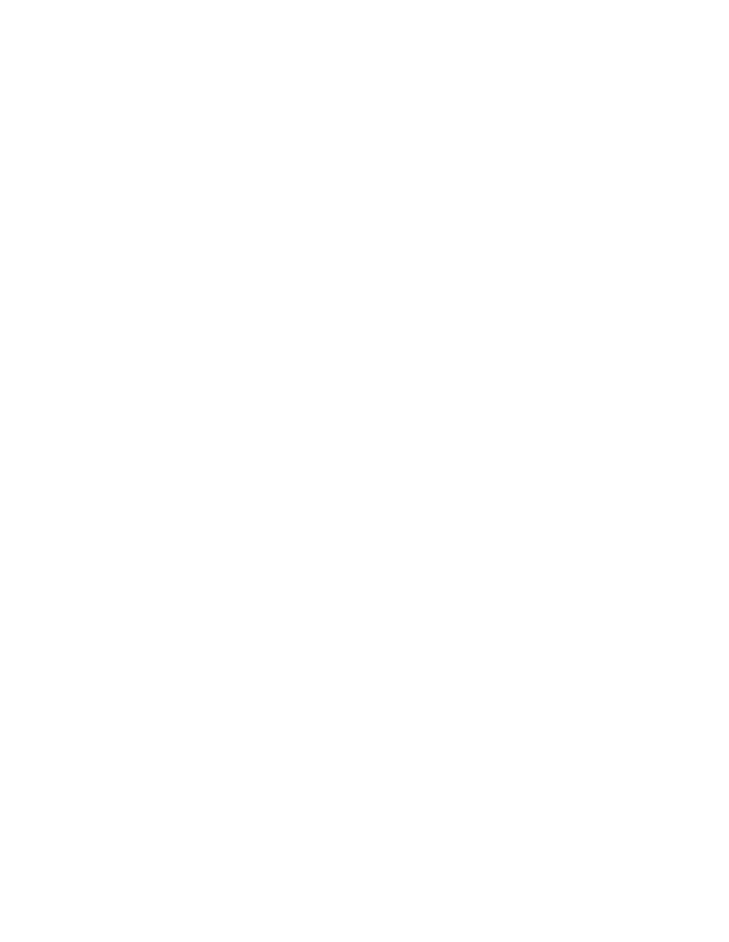| Khadilkar, et al.: Turner syndrome growth charts: A western India experience |  |  |  |
|------------------------------------------------------------------------------|--|--|--|
|                                                                              |  |  |  |

|     |                 | Table 2: Height percentiles for Turner syndrome girls |                  |       |       |       |                  |
|-----|-----------------|-------------------------------------------------------|------------------|-------|-------|-------|------------------|
| Age | 3 <sup>rd</sup> | 10th                                                  | 25 <sup>th</sup> | 50th  | 75th  | 90th  | 97 <sup>th</sup> |
| 1   | 61.1            | 63.0                                                  | 65.0             | 67.1  | 69.2  | 71.2  | 73.1             |
| 2   | 70.0            | 72.1                                                  | 74.4             | 76.8  | 79.2  | 81.5  | 83.7             |
| 3   | 77.7            | 80.1                                                  | 82.6             | 85.3  | 88.0  | 90.5  | 92.9             |
| 4   | 83.5            | 86.1                                                  | 88.8             | 91.7  | 94.6  | 97.3  | 99.9             |
| 5   | 88.1            | 90.9                                                  | 93.7             | 96.8  | 99.8  | 102.7 | 105.4            |
| 6   | 92.3            | 95.2                                                  | 98.2             | 101.4 | 104.6 | 107.6 | 110.4            |
| 7   | 96.3            | 99.3                                                  | 102.4            | 105.8 | 109.1 | 112.2 | 115.2            |
| 8   | 100.1           | 103.2                                                 | 106.5            | 110.0 | 113.4 | 116.7 | 119.8            |
| 9   | 103.7           | 107.0                                                 | 110.3            | 113.9 | 117.5 | 120.9 | 124.1            |
| 10  | 107.3           | 110.6                                                 | 114.1            | 117.8 | 121.5 | 125.0 | 128.3            |
| 11  | 110.6           | 114.0                                                 | 117.6            | 121.4 | 125.3 | 128.9 | 132.3            |
| 12  | 113.7           | 117.2                                                 | 120.9            | 124.8 | 128.7 | 132.4 | 136.0            |
| 13  | 116.8           | 120.4                                                 | 124.2            | 128.2 | 132.2 | 136.0 | 139.7            |
| 14  | 119.7           | 123.4                                                 | 127.3            | 131.4 | 135.5 | 139.4 | 143.1            |
| 15  | 122.6           | 126.4                                                 | 130.4            | 134.6 | 138.9 | 142.9 | 146.7            |
| 16  | 125.2           | 129.0                                                 | 133.1            | 137.4 | 141.8 | 145.8 | 149.7            |
| 17  | 126.7           | 130.7                                                 | 134.8            | 139.2 | 143.6 | 147.7 | 151.6            |
| 18  | 127.6           | 131.5                                                 | 135.7            | 140.1 | 144.5 | 148.7 | 152.6            |

Organization (WHO, under 5) and Indian reference data (5– 18 years).<sup>[4]</sup> The  $3<sup>rd</sup>$ ,  $50<sup>th</sup>$ , and  $97<sup>th</sup>$  percentiles of Turner data at all ages were lower than those of normal Indian girls and this effect was more pronounced after the pubertal age.

Height velocity means and SD of the present study in comparison with that of normal Indian girls is presented in Table 3. [8] Turner girls had the highest growth velocity in infancy, it dropped to 6.8 cm in the third year; the mean height velocity from 4–9 years was 4.9 cm/year beyond which it was <4 cm/year due to lack of the pubertal growth spurt.

Figure 2 illustrates the comparison of mean height of girls from current study with those reported by Ranke *et al*., Isojima *et al*., and Low *et al*. It was observed that Indian Turner syndrome girls were shorter at all ages when compared with Ranke *et al*.'s study but were comparable with Asian studies of Low *et al.* and Isojima *et al*. [9‑11]

### **Discussion**

In this retrospective, mixed longitudinal study, we present height percentiles and height velocity on 113 girls with Turner syndrome from 5 centers from western India. The number of girls included in previous global studies that have produced Turner syndrome charts ranged from 55 to 1447: 150 German girls by Ranke *et al*. [9]; 249 English girls by Brook *et al*. [12]; 55 Finnish girls by Lenko *et al*.<sup>[13]</sup>; 70 French girls by Rosenberg and Tell<sup>[14]</sup>; 1447 Japanese girls by Isojima *et al*. [11]; and 203 from Hong Kong in a study by Low *et al*. [10] Subgroup analysis of growth patterns based on karyotypes in our study did not reveal differences; other studies have also not observed major difference in growth patterns between the subtypes of Turner syndrome.[9]

We found that the MPH Z-score correlated positively with the girls' height Z score, and a similar positive correlation has been



**Figure 1:** Comparison of height charts: Turner syndrome vs. WHO-IAP

reported by Naeraa and Nielsen.[15] Mean height velocity of Turner girls was lower than that of normal Indian girls' reference data from 5 to 12 years of age. However, 13 year onwards, mean height velocity was either comparable or the growth rates of normal girls were lower possibly because they had attained adult height early as compared to Tuner girls who lack puberty and continue to grow at a low rate for a longer time. The hallmark of growth in Turner syndrome is lack of the pubertal spurt as described by many researchers. The same pattern of absence of pubertal spurt was observed in Turner girls in our study. Height velocity was observed to be lower than 4 cm beyond the age of 10 years where normally the pubertal growth spurt is expected.

Human growth is influenced by several genetic and environmental factors. Growth curves follow a recognizable pattern in normal as well as in syndromic children. The lower than average final height in girls with Turner syndrome is multifactorial due to intrauterine growth retardation, stunting between age 2–11 years, and lack of significant pubertal spurt.

Most reasons for lower final height in Turner girls may be attributed to the haploinsufficieny of SHOX gene in these girls.[9,16] We found that girls with Turner syndrome at all ages were shorter than healthy Indian girls [Figure 1]. Further, associated disorders such as hypothyroidism and celiac disease may compromise growth in these children. Hence, plotting them on Turner syndrome specific growth charts is critical to identify such deviations. Also, growth hormone is being increasingly used in India to treat Turner girls and monitoring of growth during therapy would be more appropriate if plotted on Turner charts.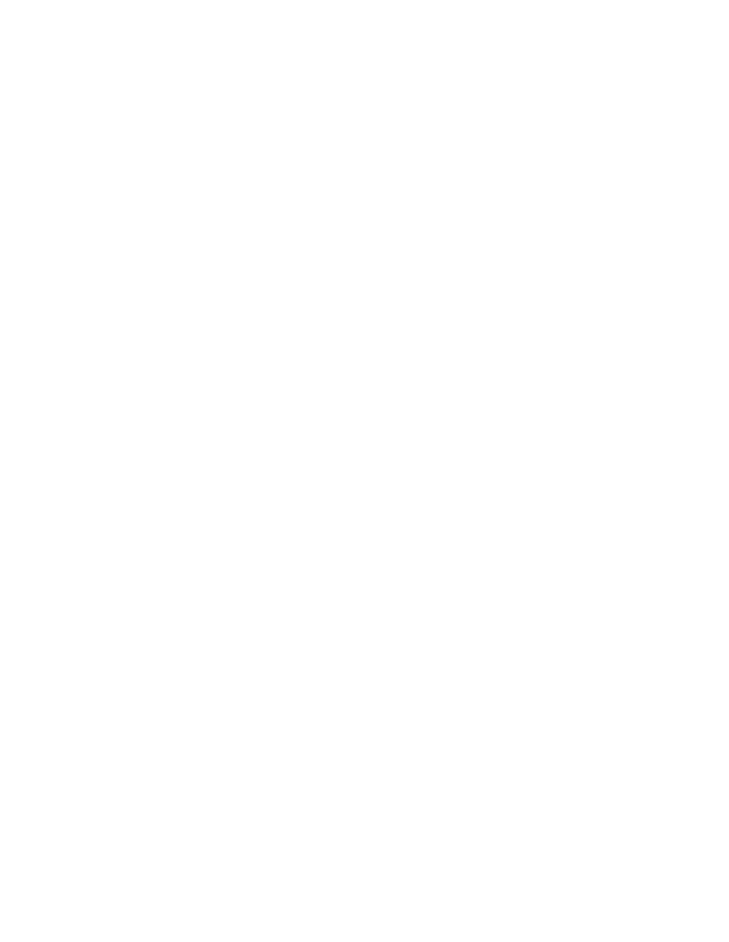**Table 3: Comparison of mean height velocity (SD) of Turner syndrome girls with normal Indian girls from 2-17 years (figures in parentheses are the standard deviations)**

| Age            | <b>Height Velocity (cm/year)</b> |                    |  |  |  |
|----------------|----------------------------------|--------------------|--|--|--|
| (years)        | <b>Turner Girl</b>               | <b>Normal Girl</b> |  |  |  |
| $\mathfrak{2}$ | 12                               |                    |  |  |  |
| 3              | $6.8 \pm 1.1$                    |                    |  |  |  |
| $\overline{4}$ | $5.2 \pm 1.0$                    |                    |  |  |  |
| 5              | $5 + 1.2$                        | $6.6 \pm 0.9$      |  |  |  |
| 6              | $4.6 \pm 1.7$                    | $6.2 \pm 1$        |  |  |  |
| 7              | $4.5 \pm 0.1$                    | $5.7 \pm 1$        |  |  |  |
| 8              | $5.5 \pm 0.1$                    | $5.7 \pm 1.3$      |  |  |  |
| 9              | $4.8 \pm 0.3$                    | $6.0 \pm 1.6$      |  |  |  |
| 10             | $3.7 \pm 0.9$                    | $6.5 \pm 1.9$      |  |  |  |
| 11             | $3.7 \pm 0.7$                    | $6.4 \pm 1.9$      |  |  |  |
| 12             | $3.3 \pm 0.9$                    | $5.1 \pm 2.2$      |  |  |  |
| 13             | $3.6 \pm 1.0$                    | $3.2 \pm 2.0$      |  |  |  |
| 14             | $2.9 \pm 0.9$                    | $1.9 \pm 1.3$      |  |  |  |
| 15             | $2.0 \pm 0.7$                    | $1.1 \pm 0.8$      |  |  |  |
| 16             | $1.8 + 0.5$                      | $0.8 \pm 0.5$      |  |  |  |
| 17             | $1.8 \pm 0.9$                    | $0.4 \pm 0$        |  |  |  |



**Figure 2:** Comparison of 50<sup>th</sup> centile for height: present study vs. international data

When compared to Ranke *et al*.'s data and data from Rongen-Westerlaken *et al.*,<sup>[17]</sup> Turner girls' mean adult height was lower in our study population, whereas, it was comparable to that reported by Lyon *et al*., Brook *et al*., and Low *et al.* (146.8 cm in Ranke *et al*.'s, 146.9 cm in Karlberg *et al*.'s, 141.7 cm in Brook *et al*.'s, 139.2 cm in Lyon *et al*.'s, 142 cm in Low *et al.*'s, 141.2 cm in Isojima *et al*.'s, and 140.1 cm in our data). The studies by Ranke *et al*. and Brook *et al*. are more than 3 decades old and there are no data available on the secular trend in these populations. However, a Japanese study on secular trend in height in Turner syndrome suggests that mean adult height in untreated Turner girls has increased by 3 cm over a 15‑year period.[10] The height of Indian Turner girls in our study at adult was 17.7 cm shorter than that of national girls' average,[4] while the height of Japanese Turner syndrome girls has been reported to be 20 cm shorter than that of their normal counterparts.[10]

Girls with Turner syndrome in our study were lighter at all ages when compared to Ranke *et al*., Karlberg *et al*., and Isojima *et al*.'s data (weight at 18 years in the current study is 41.5 kg, Ranke *et al*.'s 49 kg, Karlberg *et al*.'s 46 kg, and Isojima *et al*.'s 42.9 kg, respectively). When compared with healthy Indian girls, Turner girls were 12.3 kg (mean) lighter at 18 years.[4] Mean BMI was seen to be lower in the present study in comparison with healthy Indian girls. Not many studies have presented BMI for Turner girls; however, Indian Turner girls had a lower BMI than Swedish<sup>[17]</sup> and Egyptian girls.<sup>[18]</sup> These differences suggest that it is critical to have ethnic specific growth curves for Turner girls as quoted by El‑Bassyouni *et al*. "Local (Turner) reference growth curves are more appropriate to use than International standards."<sup>[18]</sup> The presented growth curves for Indian girls with Turner syndrome may thus be used to monitor growth in these girls (please see examples).

Some limitations of this study are the number of patients is modest and are only from western India, although it is comparable to other studies conducted on girls with Turner syndrome. We have not reported data on biochemical/hormonal parameters and the study is retrospective. Thus, larger prospective, multicentric studies are required for assessing growth in Indian girls with Turner syndrome. In addition, midparental height could not be obtained for all patients included in the study and, hence, the analysis was carried out with the available readings (88 children, i.e., 77.8%).

# **Conclusion**

In conclusion, Turner syndrome height charts presented in this study may be used to monitor growth in girls with Turner syndrome. These data may be more appropriate for identifying deviations in growth parameters of Turner syndrome girls.

Clinical Use of Turner Syndrome charts [Figure 3]:

- **Case a**: Girl diagnosed in neonatal period with pedal edema, karyotype 45x. She was just below the 50<sup>th</sup> percentile on Turner chart till 3 years after which growth was above the 50<sup>th</sup> percentile. Her MPH was 151 cm. She was growing on the 3rd percentile of the IAP charts.
- **Case b:** Girl diagnosed with clinical features of Turner at 9 years of age (46xx, 46xi) and received growth hormone for 7 years and reached adult height of 156 cm (MPH 162 cm). She crossed percentiles from being on the 50<sup>th</sup> for